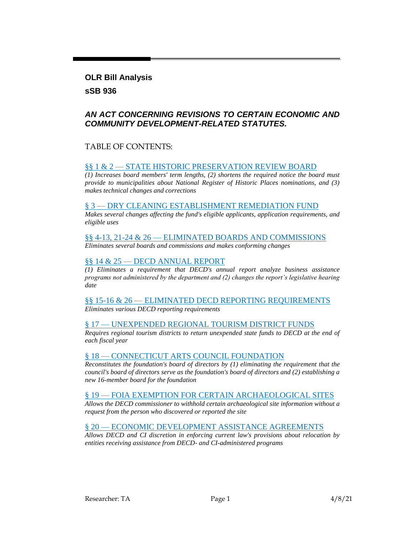**OLR Bill Analysis sSB 936**

#### *AN ACT CONCERNING REVISIONS TO CERTAIN ECONOMIC AND COMMUNITY DEVELOPMENT-RELATED STATUTES.*

#### TABLE OF CONTENTS:

#### §§ 1 & 2 — [STATE HISTORIC PRESERVATION REVIEW BOARD](#page-1-0)

*[\(1\) Increases board members' term lengths, \(2\) shortens the required notice the board must](#page-1-1)  [provide to municipalities about National Register of Historic Places nominations, and \(3\)](#page-1-1)  [makes technical changes and corrections](#page-1-1)*

#### § 3 — [DRY CLEANING ESTABLISHMENT REMEDIATION FUND](#page-1-2)

*[Makes several changes affecting the fund's eligible applicants, application requirements, and](#page-1-3)  [eligible uses](#page-1-3)*

# §§ 4-13, 21-24 & 26 — [ELIMINATED BOARDS AND COMMISSIONS](#page-3-0)

*[Eliminates several boards and commissions and makes conforming changes](#page-3-1)*

#### §§ 14 & 25 – [DECD ANNUAL REPORT](#page-4-0)

*[\(1\) Eliminates a requirement that DECD's annual report analyze business assistance](#page-4-1)  [programs not administered by the department and \(2\) changes the report's legislative hearing](#page-4-1)  [date](#page-4-1)*

#### §§ 15-16 & 26 — [ELIMINATED DECD REPORTING REQUIREMENTS](#page-4-2) *[Eliminates various DECD reporting requirements](#page-4-3)*

#### § 17 — [UNEXPENDED REGIONAL TOURISM DISTRICT FUNDS](#page-5-0)

*[Requires regional tourism districts to return unexpended state funds to DECD at the end of](#page-5-1)  [each fiscal year](#page-5-1)*

#### § 18 — [CONNECTICUT ARTS COUNCIL FOUNDATION](#page-5-2)

*[Reconstitutes the foundation's board of directors by \(1\) eliminating the requirement that the](#page-5-3)  [council's board of directors serve as the foundation's board of directors and \(2\) establishing a](#page-5-3)  [new 16-member board for the foundation](#page-5-3)*

#### § 19 — [FOIA EXEMPTION FOR CERTAIN ARCHAEOLOGICAL SITES](#page-6-0)

*[Allows the DECD commissioner to withhold certain archaeological site information without a](#page-6-1)  [request from the person who discovered or reported the site](#page-6-1)*

#### § 20 — ECONOMIC DEVELOPMENT [ASSISTANCE AGREEMENTS](#page-6-2)

*[Allows DECD and CI discretion in enforcing current law's provisions about relocation by](#page-6-3)  [entities receiving assistance from DECD-](#page-6-3) and CI-administered programs*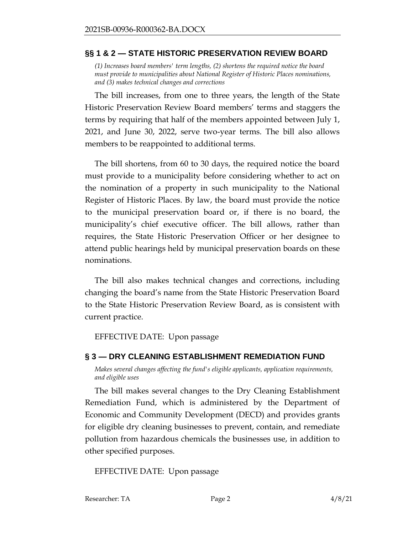### <span id="page-1-0"></span>**§§ 1 & 2 — STATE HISTORIC PRESERVATION REVIEW BOARD**

<span id="page-1-1"></span>*(1) Increases board members' term lengths, (2) shortens the required notice the board must provide to municipalities about National Register of Historic Places nominations, and (3) makes technical changes and corrections*

The bill increases, from one to three years, the length of the State Historic Preservation Review Board members' terms and staggers the terms by requiring that half of the members appointed between July 1, 2021, and June 30, 2022, serve two-year terms. The bill also allows members to be reappointed to additional terms.

The bill shortens, from 60 to 30 days, the required notice the board must provide to a municipality before considering whether to act on the nomination of a property in such municipality to the National Register of Historic Places. By law, the board must provide the notice to the municipal preservation board or, if there is no board, the municipality's chief executive officer. The bill allows, rather than requires, the State Historic Preservation Officer or her designee to attend public hearings held by municipal preservation boards on these nominations.

The bill also makes technical changes and corrections, including changing the board's name from the State Historic Preservation Board to the State Historic Preservation Review Board, as is consistent with current practice.

EFFECTIVE DATE: Upon passage

# <span id="page-1-2"></span>**§ 3 — DRY CLEANING ESTABLISHMENT REMEDIATION FUND**

<span id="page-1-3"></span>*Makes several changes affecting the fund's eligible applicants, application requirements, and eligible uses*

The bill makes several changes to the Dry Cleaning Establishment Remediation Fund, which is administered by the Department of Economic and Community Development (DECD) and provides grants for eligible dry cleaning businesses to prevent, contain, and remediate pollution from hazardous chemicals the businesses use, in addition to other specified purposes.

EFFECTIVE DATE: Upon passage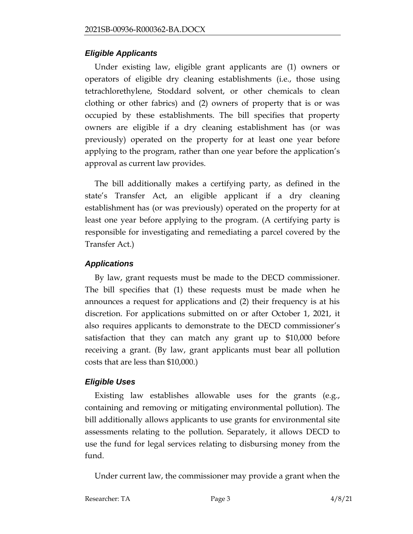# *Eligible Applicants*

Under existing law, eligible grant applicants are (1) owners or operators of eligible dry cleaning establishments (i.e., those using tetrachlorethylene, Stoddard solvent, or other chemicals to clean clothing or other fabrics) and (2) owners of property that is or was occupied by these establishments. The bill specifies that property owners are eligible if a dry cleaning establishment has (or was previously) operated on the property for at least one year before applying to the program, rather than one year before the application's approval as current law provides.

The bill additionally makes a certifying party, as defined in the state's Transfer Act, an eligible applicant if a dry cleaning establishment has (or was previously) operated on the property for at least one year before applying to the program. (A certifying party is responsible for investigating and remediating a parcel covered by the Transfer Act.)

# *Applications*

By law, grant requests must be made to the DECD commissioner. The bill specifies that (1) these requests must be made when he announces a request for applications and (2) their frequency is at his discretion. For applications submitted on or after October 1, 2021, it also requires applicants to demonstrate to the DECD commissioner's satisfaction that they can match any grant up to \$10,000 before receiving a grant. (By law, grant applicants must bear all pollution costs that are less than \$10,000.)

# *Eligible Uses*

Existing law establishes allowable uses for the grants (e.g., containing and removing or mitigating environmental pollution). The bill additionally allows applicants to use grants for environmental site assessments relating to the pollution. Separately, it allows DECD to use the fund for legal services relating to disbursing money from the fund.

Under current law, the commissioner may provide a grant when the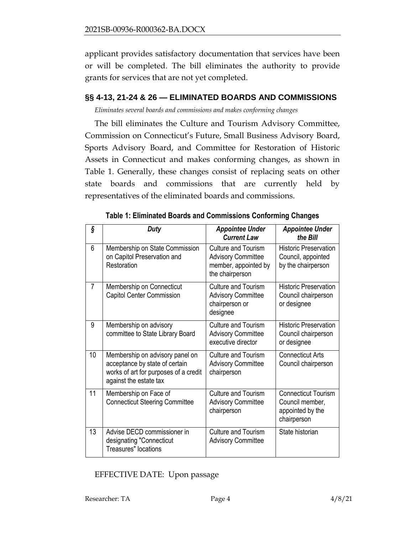applicant provides satisfactory documentation that services have been or will be completed. The bill eliminates the authority to provide grants for services that are not yet completed.

### <span id="page-3-0"></span>**§§ 4-13, 21-24 & 26 — ELIMINATED BOARDS AND COMMISSIONS**

<span id="page-3-1"></span>*Eliminates several boards and commissions and makes conforming changes*

The bill eliminates the Culture and Tourism Advisory Committee, Commission on Connecticut's Future, Small Business Advisory Board, Sports Advisory Board, and Committee for Restoration of Historic Assets in Connecticut and makes conforming changes, as shown in Table 1. Generally, these changes consist of replacing seats on other state boards and commissions that are currently held by representatives of the eliminated boards and commissions.

| ş  | <b>Duty</b>                                                                                                                          | <b>Appointee Under</b><br><b>Current Law</b>                                                       | <b>Appointee Under</b><br>the Bill                                               |
|----|--------------------------------------------------------------------------------------------------------------------------------------|----------------------------------------------------------------------------------------------------|----------------------------------------------------------------------------------|
| 6  | Membership on State Commission<br>on Capitol Preservation and<br>Restoration                                                         | <b>Culture and Tourism</b><br><b>Advisory Committee</b><br>member, appointed by<br>the chairperson | <b>Historic Preservation</b><br>Council, appointed<br>by the chairperson         |
| 7  | Membership on Connecticut<br><b>Capitol Center Commission</b>                                                                        | <b>Culture and Tourism</b><br><b>Advisory Committee</b><br>chairperson or<br>designee              | <b>Historic Preservation</b><br>Council chairperson<br>or designee               |
| 9  | Membership on advisory<br>committee to State Library Board                                                                           | <b>Culture and Tourism</b><br><b>Advisory Committee</b><br>executive director                      | <b>Historic Preservation</b><br>Council chairperson<br>or designee               |
| 10 | Membership on advisory panel on<br>acceptance by state of certain<br>works of art for purposes of a credit<br>against the estate tax | <b>Culture and Tourism</b><br><b>Advisory Committee</b><br>chairperson                             | <b>Connecticut Arts</b><br>Council chairperson                                   |
| 11 | Membership on Face of<br><b>Connecticut Steering Committee</b>                                                                       | <b>Culture and Tourism</b><br><b>Advisory Committee</b><br>chairperson                             | <b>Connecticut Tourism</b><br>Council member,<br>appointed by the<br>chairperson |
| 13 | Advise DECD commissioner in<br>designating "Connecticut<br>Treasures" locations                                                      | Culture and Tourism<br><b>Advisory Committee</b>                                                   | State historian                                                                  |

| Table 1: Eliminated Boards and Commissions Conforming Changes |  |  |
|---------------------------------------------------------------|--|--|
|---------------------------------------------------------------|--|--|

EFFECTIVE DATE: Upon passage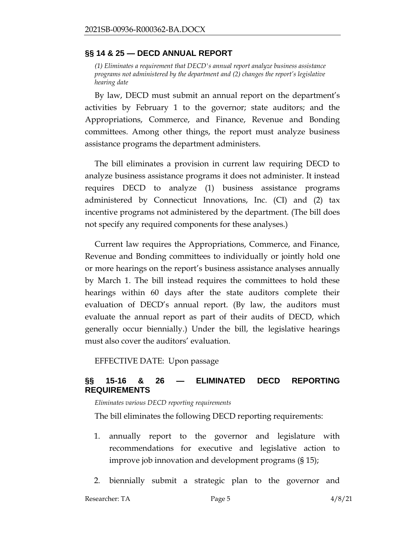#### <span id="page-4-0"></span>**§§ 14 & 25 — DECD ANNUAL REPORT**

<span id="page-4-1"></span>*(1) Eliminates a requirement that DECD's annual report analyze business assistance programs not administered by the department and (2) changes the report's legislative hearing date*

By law, DECD must submit an annual report on the department's activities by February 1 to the governor; state auditors; and the Appropriations, Commerce, and Finance, Revenue and Bonding committees. Among other things, the report must analyze business assistance programs the department administers.

The bill eliminates a provision in current law requiring DECD to analyze business assistance programs it does not administer. It instead requires DECD to analyze (1) business assistance programs administered by Connecticut Innovations, Inc. (CI) and (2) tax incentive programs not administered by the department. (The bill does not specify any required components for these analyses.)

Current law requires the Appropriations, Commerce, and Finance, Revenue and Bonding committees to individually or jointly hold one or more hearings on the report's business assistance analyses annually by March 1. The bill instead requires the committees to hold these hearings within 60 days after the state auditors complete their evaluation of DECD's annual report. (By law, the auditors must evaluate the annual report as part of their audits of DECD, which generally occur biennially.) Under the bill, the legislative hearings must also cover the auditors' evaluation.

EFFECTIVE DATE: Upon passage

# <span id="page-4-2"></span>**§§ 15-16 & 26 — ELIMINATED DECD REPORTING REQUIREMENTS**

<span id="page-4-3"></span>*Eliminates various DECD reporting requirements*

The bill eliminates the following DECD reporting requirements:

- 1. annually report to the governor and legislature with recommendations for executive and legislative action to improve job innovation and development programs (§ 15);
- 2. biennially submit a strategic plan to the governor and

Researcher: TA  $P$ age 5 4/8/21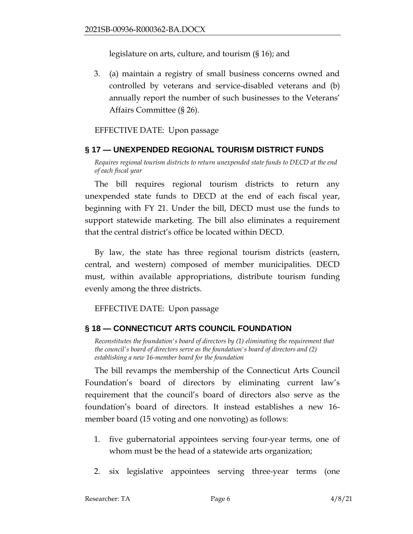legislature on arts, culture, and tourism (§ 16); and

3. (a) maintain a registry of small business concerns owned and controlled by veterans and service-disabled veterans and (b) annually report the number of such businesses to the Veterans' Affairs Committee (§ 26).

### EFFECTIVE DATE: Upon passage

#### <span id="page-5-0"></span>**§ 17 — UNEXPENDED REGIONAL TOURISM DISTRICT FUNDS**

<span id="page-5-1"></span>*Requires regional tourism districts to return unexpended state funds to DECD at the end of each fiscal year*

The bill requires regional tourism districts to return any unexpended state funds to DECD at the end of each fiscal year, beginning with FY 21. Under the bill, DECD must use the funds to support statewide marketing. The bill also eliminates a requirement that the central district's office be located within DECD.

By law, the state has three regional tourism districts (eastern, central, and western) composed of member municipalities. DECD must, within available appropriations, distribute tourism funding evenly among the three districts.

EFFECTIVE DATE: Upon passage

# <span id="page-5-2"></span>**§ 18 — CONNECTICUT ARTS COUNCIL FOUNDATION**

<span id="page-5-3"></span>*Reconstitutes the foundation's board of directors by (1) eliminating the requirement that the council's board of directors serve as the foundation's board of directors and (2) establishing a new 16-member board for the foundation*

The bill revamps the membership of the Connecticut Arts Council Foundation's board of directors by eliminating current law's requirement that the council's board of directors also serve as the foundation's board of directors. It instead establishes a new 16 member board (15 voting and one nonvoting) as follows:

- 1. five gubernatorial appointees serving four-year terms, one of whom must be the head of a statewide arts organization;
- 2. six legislative appointees serving three-year terms (one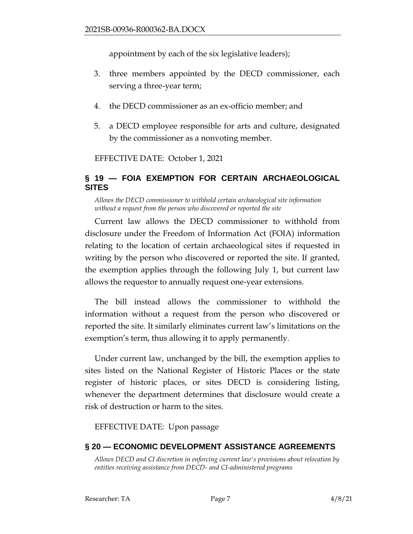appointment by each of the six legislative leaders);

- 3. three members appointed by the DECD commissioner, each serving a three-year term;
- 4. the DECD commissioner as an ex-officio member; and
- 5. a DECD employee responsible for arts and culture, designated by the commissioner as a nonvoting member.

EFFECTIVE DATE: October 1, 2021

# <span id="page-6-0"></span>**§ 19 — FOIA EXEMPTION FOR CERTAIN ARCHAEOLOGICAL SITES**

<span id="page-6-1"></span>*Allows the DECD commissioner to withhold certain archaeological site information without a request from the person who discovered or reported the site*

Current law allows the DECD commissioner to withhold from disclosure under the Freedom of Information Act (FOIA) information relating to the location of certain archaeological sites if requested in writing by the person who discovered or reported the site. If granted, the exemption applies through the following July 1, but current law allows the requestor to annually request one-year extensions.

The bill instead allows the commissioner to withhold the information without a request from the person who discovered or reported the site. It similarly eliminates current law's limitations on the exemption's term, thus allowing it to apply permanently.

Under current law, unchanged by the bill, the exemption applies to sites listed on the National Register of Historic Places or the state register of historic places, or sites DECD is considering listing, whenever the department determines that disclosure would create a risk of destruction or harm to the sites.

EFFECTIVE DATE: Upon passage

# <span id="page-6-2"></span>**§ 20 — ECONOMIC DEVELOPMENT ASSISTANCE AGREEMENTS**

<span id="page-6-3"></span>*Allows DECD and CI discretion in enforcing current law's provisions about relocation by entities receiving assistance from DECD- and CI-administered programs*